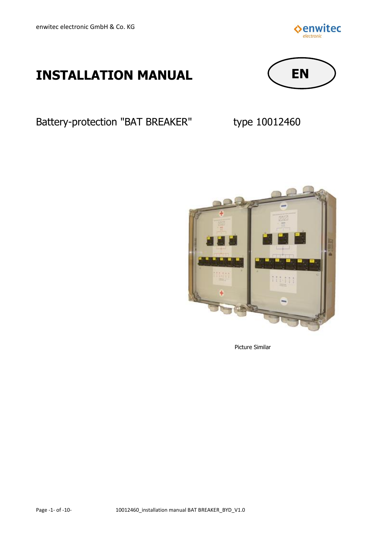

# **INSTALLATION MANUAL**



Battery-protection "BAT BREAKER" type 10012460



Picture Similar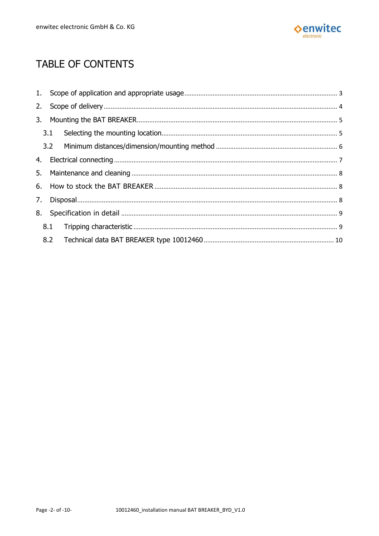

# TABLE OF CONTENTS

| 2.  |     |  |  |  |  |  |
|-----|-----|--|--|--|--|--|
|     |     |  |  |  |  |  |
|     | 3.1 |  |  |  |  |  |
|     |     |  |  |  |  |  |
|     |     |  |  |  |  |  |
|     |     |  |  |  |  |  |
|     |     |  |  |  |  |  |
|     |     |  |  |  |  |  |
|     |     |  |  |  |  |  |
| 8.1 |     |  |  |  |  |  |
|     |     |  |  |  |  |  |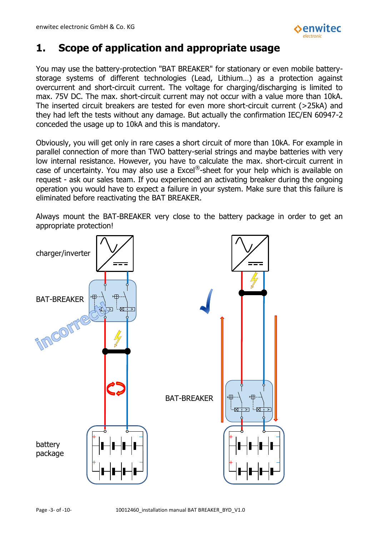

# <span id="page-2-0"></span>**1. Scope of application and appropriate usage**

You may use the battery-protection "BAT BREAKER" for stationary or even mobile batterystorage systems of different technologies (Lead, Lithium…) as a protection against overcurrent and short-circuit current. The voltage for charging/discharging is limited to max. 75V DC. The max. short-circuit current may not occur with a value more than 10kA. The inserted circuit breakers are tested for even more short-circuit current (>25kA) and they had left the tests without any damage. But actually the confirmation IEC/EN 60947-2 conceded the usage up to 10kA and this is mandatory.

Obviously, you will get only in rare cases a short circuit of more than 10kA. For example in parallel connection of more than TWO battery-serial strings and maybe batteries with very low internal resistance. However, you have to calculate the max. short-circuit current in case of uncertainty. You may also use a Excel®-sheet for your help which is available on request - ask our sales team. If you experienced an activating breaker during the ongoing operation you would have to expect a failure in your system. Make sure that this failure is eliminated before reactivating the BAT BREAKER.

Always mount the BAT-BREAKER very close to the battery package in order to get an appropriate protection!

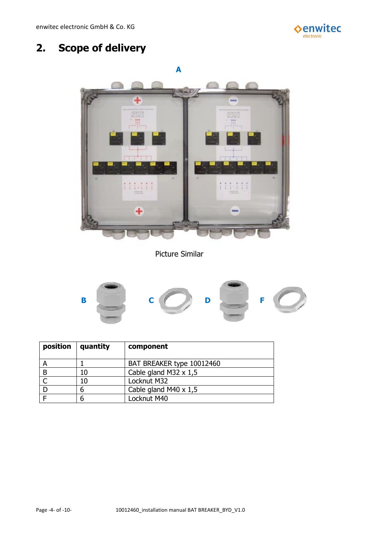

# <span id="page-3-0"></span>**2. Scope of delivery**



Picture Similar



| position | quantity | component                    |
|----------|----------|------------------------------|
|          |          | BAT BREAKER type 10012460    |
|          | 10       | Cable gland M32 $\times$ 1,5 |
|          | 10       | Locknut M32                  |
|          |          | Cable gland M40 $\times$ 1,5 |
|          |          | Locknut M40                  |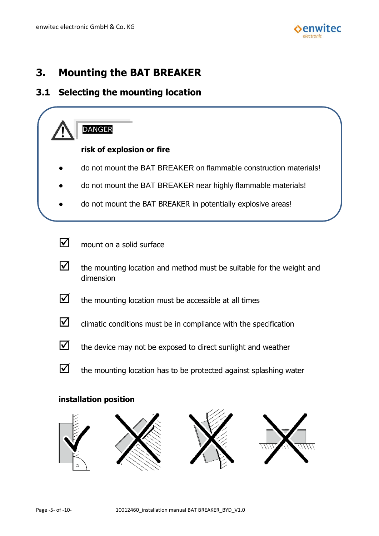

## <span id="page-4-0"></span>**3. Mounting the BAT BREAKER**

#### <span id="page-4-1"></span>**3.1 Selecting the mounting location**



#### **installation position**

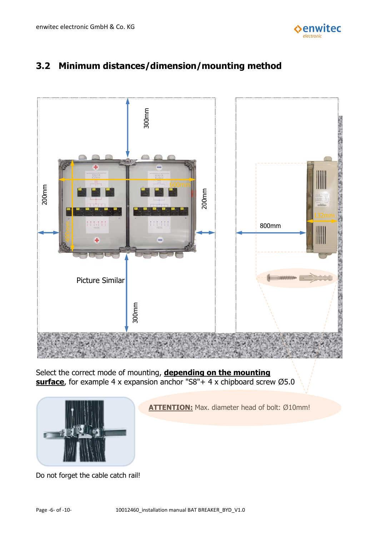

#### <span id="page-5-0"></span>**3.2 Minimum distances/dimension/mounting method**



Select the correct mode of mounting, **depending on the mounting surface**, for example 4 x expansion anchor "S8"+ 4 x chipboard screw Ø5.0



**ATTENTION:** Max. diameter head of bolt: Ø10mm!

Do not forget the cable catch rail!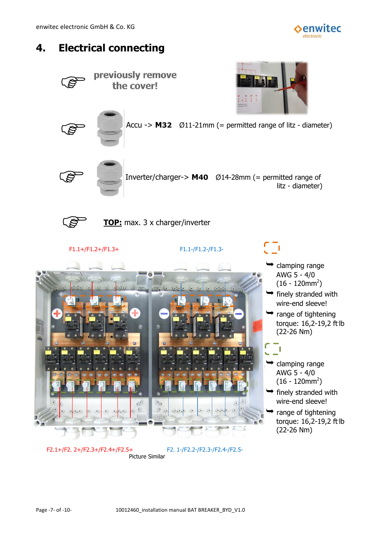

# <span id="page-6-0"></span>**4. Electrical connecting**

previously remove E the cover! T. E Accu -> **M32** Ø11-21mm (= permitted range of litz - diameter) B Inverter/charger-> **M40** Ø14-28mm (= permitted range of litz - diameter) B **TOP:** max. 3 x charger/inverter F1.1+/F1.2+/F1.3+ F1.1-/F1.2-/F1.3-  $\rightarrow$  clamping range AWG 5 - 4/0  $(16 - 120$ mm $^2)$  $\rightarrow$  finely stranded with wire-end sleeve!  $\rightarrow$  range of tightening torque: 16,2-19,2 ft. lb (22-26 Nm) п clamping range AWG 5 - 4/0  $(16 - 120$ mm $^2)$  $\rightarrow$  finely stranded with wire-end sleeve!  $\rightarrow$  range of tightening torque: 16,2-19,2 ft. lb (22-26 Nm)

F2.1+/F2. 2+/F2.3+/F2.4+/F2.5+ F2. 1-/F2.2-/F2.3-/F2.4-/F2.5-

Picture Similar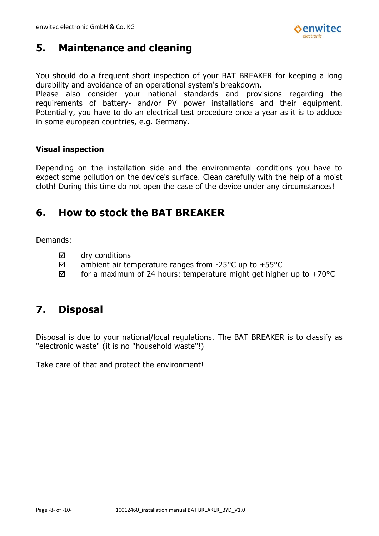

# <span id="page-7-0"></span>**5. Maintenance and cleaning**

You should do a frequent short inspection of your BAT BREAKER for keeping a long durability and avoidance of an operational system's breakdown.

Please also consider your national standards and provisions regarding the requirements of battery- and/or PV power installations and their equipment. Potentially, you have to do an electrical test procedure once a year as it is to adduce in some european countries, e.g. Germany.

#### **Visual inspection**

Depending on the installation side and the environmental conditions you have to expect some pollution on the device's surface. Clean carefully with the help of a moist cloth! During this time do not open the case of the device under any circumstances!

# <span id="page-7-1"></span>**6. How to stock the BAT BREAKER**

Demands:

- $\boxtimes$  dry conditions
- $\boxtimes$  ambient air temperature ranges from -25 °C up to +55 °C
- $\boxtimes$  for a maximum of 24 hours: temperature might get higher up to +70 °C

### <span id="page-7-2"></span>**7. Disposal**

Disposal is due to your national/local regulations. The BAT BREAKER is to classify as "electronic waste" (it is no "household waste"!)

Take care of that and protect the environment!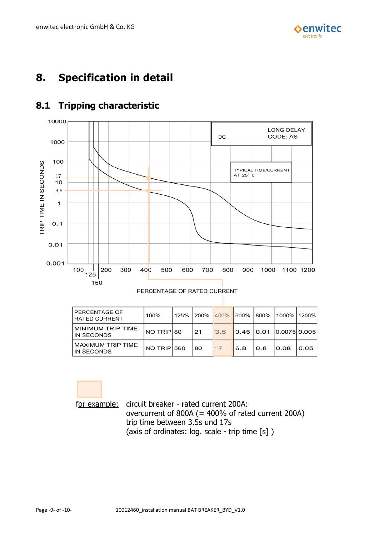

# <span id="page-8-0"></span>**8. Specification in detail**



#### <span id="page-8-1"></span>**8.1 Tripping characteristic**

PERCENTAGE OF RATED CURRENT

| PERCENTAGE OF<br><b>RATED CURRENT</b>  | 100%        | 125% | l 200% | 400% |     |      | 600%  800%  1000%  1200% |      |
|----------------------------------------|-------------|------|--------|------|-----|------|--------------------------|------|
| <b>MINIMUM TRIP TIME</b><br>IN SECONDS | NO TRIP 80  |      | 21     | 3.5  |     |      | 0.45 0.01 0.0075 0.005   |      |
| <b>MAXIMUM TRIP TIME</b><br>IN SECONDS | NO TRIP 560 |      | 80     | 17   | 6.8 | 10.8 | 10.08                    | 0.05 |

for example: circuit breaker - rated current 200A: overcurrent of 800A (= 400% of rated current 200A) trip time between 3.5s und 17s (axis of ordinates: log. scale - trip time [s] )